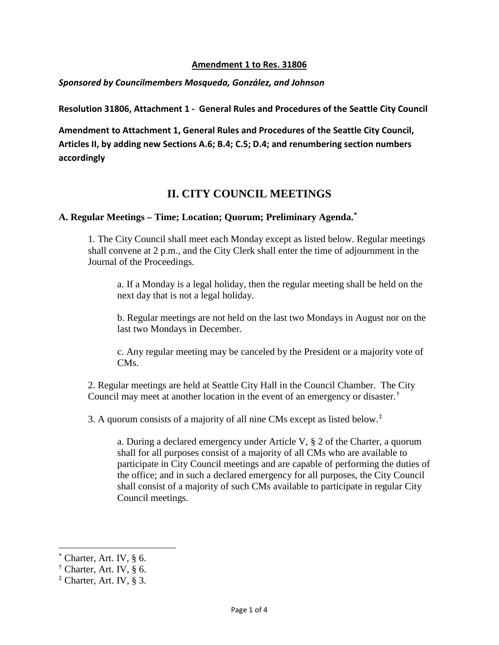#### **Amendment 1 to Res. 31806**

#### *Sponsored by Councilmembers Mosqueda, González, and Johnson*

**Resolution 31806, Attachment 1 - General Rules and Procedures of the Seattle City Council** 

**Amendment to Attachment 1, General Rules and Procedures of the Seattle City Council, Articles II, by adding new Sections A.6; B.4; C.5; D.4; and renumbering section numbers accordingly**

# **II. CITY COUNCIL MEETINGS**

### **A. Regular Meetings – Time; Location; Quorum; Preliminary Agenda. [\\*](#page-0-0)**

1. The City Council shall meet each Monday except as listed below. Regular meetings shall convene at 2 p.m., and the City Clerk shall enter the time of adjournment in the Journal of the Proceedings.

a. If a Monday is a legal holiday, then the regular meeting shall be held on the next day that is not a legal holiday.

b. Regular meetings are not held on the last two Mondays in August nor on the last two Mondays in December.

c. Any regular meeting may be canceled by the President or a majority vote of CM<sub>s</sub>.

2. Regular meetings are held at Seattle City Hall in the Council Chamber. The City Council may meet at another location in the event of an emergency or disaster.[†](#page-0-1)

3. A quorum consists of a majority of all nine CMs except as listed below.<sup> $\ddagger$ </sup>

a. During a declared emergency under Article V, § 2 of the Charter, a quorum shall for all purposes consist of a majority of all CMs who are available to participate in City Council meetings and are capable of performing the duties of the office; and in such a declared emergency for all purposes, the City Council shall consist of a majority of such CMs available to participate in regular City Council meetings.

l

<span id="page-0-0"></span>Charter, Art. IV,  $§$  6.

<span id="page-0-1"></span> $\dagger$  Charter, Art. IV, § 6.

<span id="page-0-2"></span><sup>‡</sup> Charter, Art. IV, § 3.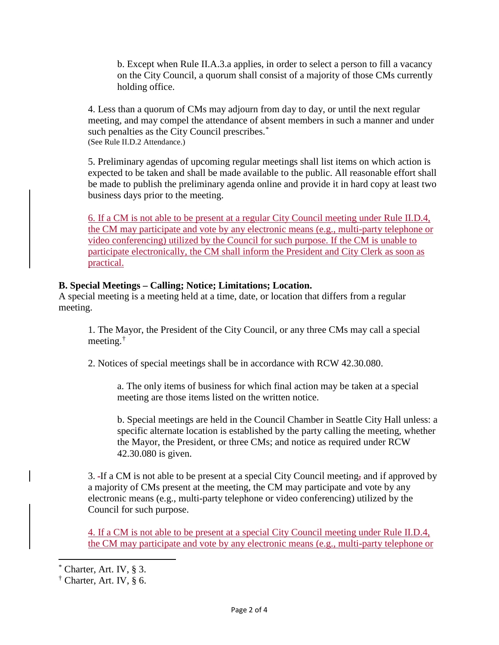b. Except when Rule II.A.3.a applies, in order to select a person to fill a vacancy on the City Council, a quorum shall consist of a majority of those CMs currently holding office.

4. Less than a quorum of CMs may adjourn from day to day, or until the next regular meeting, and may compel the attendance of absent members in such a manner and under such penalties as the City Council prescribes.<sup>[\\*](#page-1-0)</sup> (See Rule II.D.2 Attendance.)

5. Preliminary agendas of upcoming regular meetings shall list items on which action is expected to be taken and shall be made available to the public. All reasonable effort shall be made to publish the preliminary agenda online and provide it in hard copy at least two business days prior to the meeting.

6. If a CM is not able to be present at a regular City Council meeting under Rule II.D.4, the CM may participate and vote by any electronic means (e.g., multi-party telephone or video conferencing) utilized by the Council for such purpose. If the CM is unable to participate electronically, the CM shall inform the President and City Clerk as soon as practical.

## **B. Special Meetings – Calling; Notice; Limitations; Location.**

A special meeting is a meeting held at a time, date, or location that differs from a regular meeting.

1. The Mayor, the President of the City Council, or any three CMs may call a special meeting.[†](#page-1-1)

2. Notices of special meetings shall be in accordance with RCW 42.30.080.

a. The only items of business for which final action may be taken at a special meeting are those items listed on the written notice.

b. Special meetings are held in the Council Chamber in Seattle City Hall unless: a specific alternate location is established by the party calling the meeting, whether the Mayor, the President, or three CMs; and notice as required under RCW 42.30.080 is given.

3. If a CM is not able to be present at a special City Council meeting, and if approved by a majority of CMs present at the meeting, the CM may participate and vote by any electronic means (e.g., multi-party telephone or video conferencing) utilized by the Council for such purpose.

4. If a CM is not able to be present at a special City Council meeting under Rule II.D.4, the CM may participate and vote by any electronic means (e.g., multi-party telephone or

l

Charter, Art. IV, § 3.

<span id="page-1-1"></span><span id="page-1-0"></span> $\dagger$  Charter, Art. IV, § 6.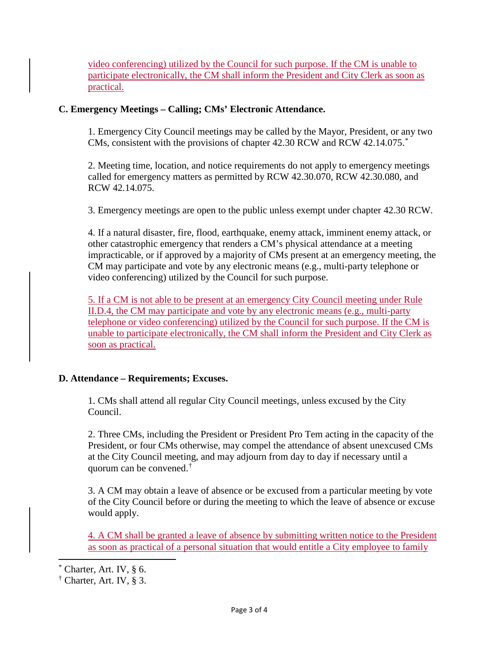video conferencing) utilized by the Council for such purpose. If the CM is unable to participate electronically, the CM shall inform the President and City Clerk as soon as practical.

### **C. Emergency Meetings – Calling; CMs' Electronic Attendance.**

1. Emergency City Council meetings may be called by the Mayor, President, or any two CMs, consistent with the provisions of chapter 42.30 RCW and RCW 42.14.075.[\\*](#page-2-0)

2. Meeting time, location, and notice requirements do not apply to emergency meetings called for emergency matters as permitted by RCW 42.30.070, RCW 42.30.080, and RCW 42.14.075.

3. Emergency meetings are open to the public unless exempt under chapter 42.30 RCW.

4. If a natural disaster, fire, flood, earthquake, enemy attack, imminent enemy attack, or other catastrophic emergency that renders a CM's physical attendance at a meeting impracticable, or if approved by a majority of CMs present at an emergency meeting, the CM may participate and vote by any electronic means (e.g., multi-party telephone or video conferencing) utilized by the Council for such purpose.

5. If a CM is not able to be present at an emergency City Council meeting under Rule II.D.4, the CM may participate and vote by any electronic means (e.g., multi-party telephone or video conferencing) utilized by the Council for such purpose. If the CM is unable to participate electronically, the CM shall inform the President and City Clerk as soon as practical.

## **D. Attendance – Requirements; Excuses.**

1. CMs shall attend all regular City Council meetings, unless excused by the City Council.

2. Three CMs, including the President or President Pro Tem acting in the capacity of the President, or four CMs otherwise, may compel the attendance of absent unexcused CMs at the City Council meeting, and may adjourn from day to day if necessary until a quorum can be convened.[†](#page-2-1)

3. A CM may obtain a leave of absence or be excused from a particular meeting by vote of the City Council before or during the meeting to which the leave of absence or excuse would apply.

4. A CM shall be granted a leave of absence by submitting written notice to the President as soon as practical of a personal situation that would entitle a City employee to family

l

Charter, Art. IV,  $§$  6.

<span id="page-2-1"></span><span id="page-2-0"></span> $<sup>†</sup>$  Charter, Art. IV, § 3.</sup>